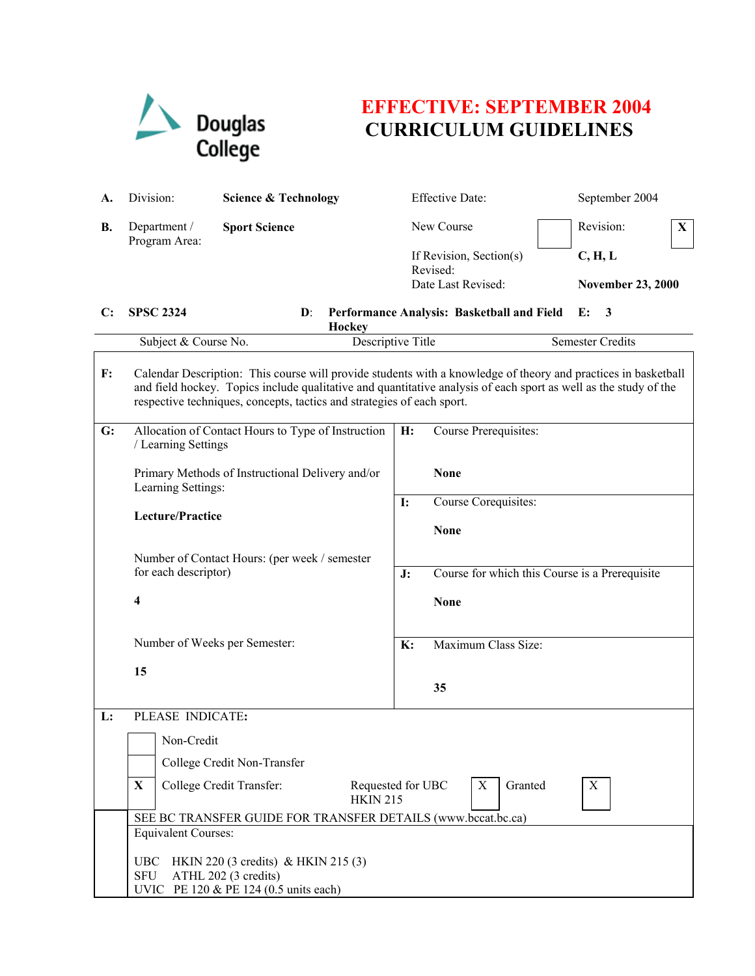

## **EFFECTIVE: SEPTEMBER 2004 CURRICULUM GUIDELINES**

| A.             | Division:                                                                                                                                                                                                                                                                                                    | <b>Science &amp; Technology</b>                                                            |           | <b>Effective Date:</b>                     | September 2004                                 |  |
|----------------|--------------------------------------------------------------------------------------------------------------------------------------------------------------------------------------------------------------------------------------------------------------------------------------------------------------|--------------------------------------------------------------------------------------------|-----------|--------------------------------------------|------------------------------------------------|--|
| В.             | Department /<br>Program Area:                                                                                                                                                                                                                                                                                | <b>Sport Science</b>                                                                       |           | New Course                                 | Revision:<br>X                                 |  |
|                |                                                                                                                                                                                                                                                                                                              |                                                                                            |           | If Revision, Section(s)                    | C, H, L                                        |  |
|                |                                                                                                                                                                                                                                                                                                              |                                                                                            |           | Revised:<br>Date Last Revised:             | <b>November 23, 2000</b>                       |  |
| C:             | <b>SPSC 2324</b>                                                                                                                                                                                                                                                                                             | $\mathbf{D}$ :                                                                             |           | Performance Analysis: Basketball and Field | 3<br>E:                                        |  |
|                |                                                                                                                                                                                                                                                                                                              | <b>Hockey</b>                                                                              |           |                                            |                                                |  |
|                |                                                                                                                                                                                                                                                                                                              | Subject & Course No.<br>Descriptive Title                                                  |           |                                            | <b>Semester Credits</b>                        |  |
| $\mathbf{F}$ : | Calendar Description: This course will provide students with a knowledge of theory and practices in basketball<br>and field hockey. Topics include qualitative and quantitative analysis of each sport as well as the study of the<br>respective techniques, concepts, tactics and strategies of each sport. |                                                                                            |           |                                            |                                                |  |
| G:             | / Learning Settings                                                                                                                                                                                                                                                                                          | Allocation of Contact Hours to Type of Instruction                                         | H:        | Course Prerequisites:                      |                                                |  |
|                | Primary Methods of Instructional Delivery and/or<br>Learning Settings:                                                                                                                                                                                                                                       |                                                                                            |           | <b>None</b>                                |                                                |  |
|                |                                                                                                                                                                                                                                                                                                              |                                                                                            | <b>I:</b> | Course Corequisites:                       |                                                |  |
|                |                                                                                                                                                                                                                                                                                                              | Lecture/Practice                                                                           |           | <b>None</b>                                |                                                |  |
|                |                                                                                                                                                                                                                                                                                                              | Number of Contact Hours: (per week / semester                                              |           |                                            |                                                |  |
|                | for each descriptor)                                                                                                                                                                                                                                                                                         |                                                                                            | J:        |                                            | Course for which this Course is a Prerequisite |  |
|                | 4                                                                                                                                                                                                                                                                                                            |                                                                                            |           | <b>None</b>                                |                                                |  |
|                | Number of Weeks per Semester:                                                                                                                                                                                                                                                                                |                                                                                            | K:        | Maximum Class Size:                        |                                                |  |
|                | 15                                                                                                                                                                                                                                                                                                           |                                                                                            |           |                                            |                                                |  |
|                |                                                                                                                                                                                                                                                                                                              |                                                                                            |           | 35                                         |                                                |  |
| L:             | PLEASE INDICATE:                                                                                                                                                                                                                                                                                             |                                                                                            |           |                                            |                                                |  |
|                |                                                                                                                                                                                                                                                                                                              | Non-Credit                                                                                 |           |                                            |                                                |  |
|                |                                                                                                                                                                                                                                                                                                              | College Credit Non-Transfer                                                                |           |                                            |                                                |  |
|                | X                                                                                                                                                                                                                                                                                                            | Granted<br>College Credit Transfer:<br>Requested for UBC<br>X<br>X<br><b>HKIN 215</b>      |           |                                            |                                                |  |
|                |                                                                                                                                                                                                                                                                                                              | SEE BC TRANSFER GUIDE FOR TRANSFER DETAILS (www.bccat.bc.ca)<br><b>Equivalent Courses:</b> |           |                                            |                                                |  |
|                |                                                                                                                                                                                                                                                                                                              |                                                                                            |           |                                            |                                                |  |
|                | HKIN 220 (3 credits) & HKIN 215 (3)<br><b>UBC</b><br><b>SFU</b><br>ATHL 202 (3 credits)                                                                                                                                                                                                                      |                                                                                            |           |                                            |                                                |  |
|                | UVIC PE 120 & PE 124 (0.5 units each)                                                                                                                                                                                                                                                                        |                                                                                            |           |                                            |                                                |  |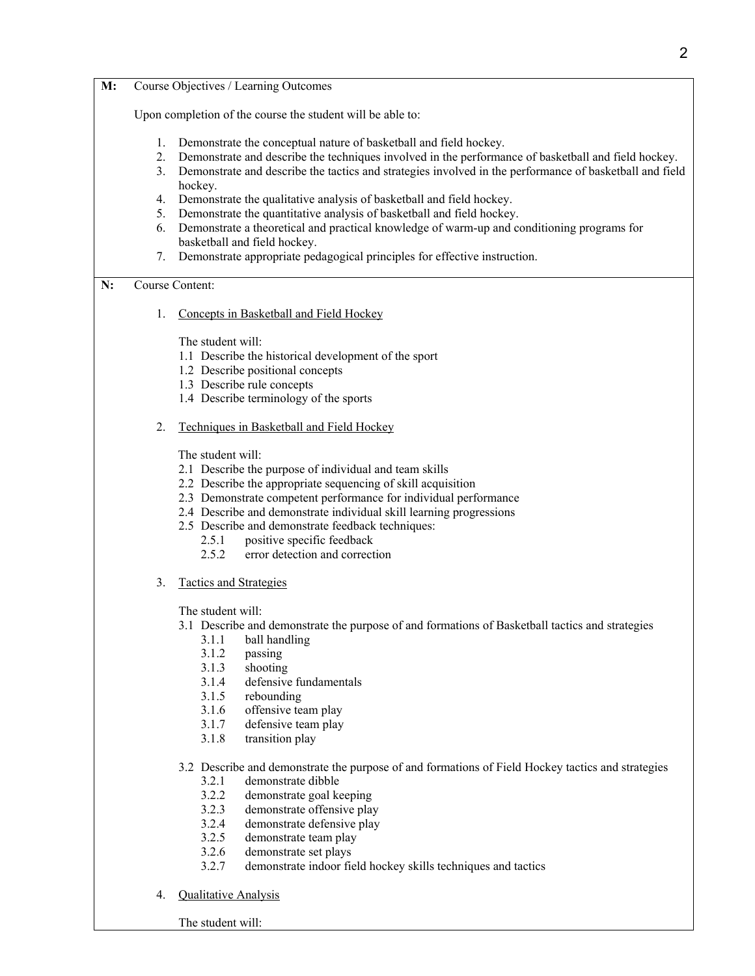| M: | Course Objectives / Learning Outcomes                                                 |                                                                                                                                                                                                                                                                                                                                                                                                                               |  |  |  |  |
|----|---------------------------------------------------------------------------------------|-------------------------------------------------------------------------------------------------------------------------------------------------------------------------------------------------------------------------------------------------------------------------------------------------------------------------------------------------------------------------------------------------------------------------------|--|--|--|--|
|    | Upon completion of the course the student will be able to:                            |                                                                                                                                                                                                                                                                                                                                                                                                                               |  |  |  |  |
|    | 1.<br>2.                                                                              | Demonstrate the conceptual nature of basketball and field hockey.<br>Demonstrate and describe the techniques involved in the performance of basketball and field hockey.<br>Demonstrate and describe the tactics and strategies involved in the performance of basketball and field<br>3.                                                                                                                                     |  |  |  |  |
|    | hockey.<br>Demonstrate the qualitative analysis of basketball and field hockey.<br>4. |                                                                                                                                                                                                                                                                                                                                                                                                                               |  |  |  |  |
|    | 5.                                                                                    | Demonstrate the quantitative analysis of basketball and field hockey.                                                                                                                                                                                                                                                                                                                                                         |  |  |  |  |
|    | 6.                                                                                    | Demonstrate a theoretical and practical knowledge of warm-up and conditioning programs for                                                                                                                                                                                                                                                                                                                                    |  |  |  |  |
|    |                                                                                       | basketball and field hockey.                                                                                                                                                                                                                                                                                                                                                                                                  |  |  |  |  |
|    |                                                                                       | Demonstrate appropriate pedagogical principles for effective instruction.<br>7.                                                                                                                                                                                                                                                                                                                                               |  |  |  |  |
| N: | Course Content:<br>Concepts in Basketball and Field Hockey<br>1.                      |                                                                                                                                                                                                                                                                                                                                                                                                                               |  |  |  |  |
|    |                                                                                       |                                                                                                                                                                                                                                                                                                                                                                                                                               |  |  |  |  |
|    |                                                                                       | The student will:                                                                                                                                                                                                                                                                                                                                                                                                             |  |  |  |  |
|    |                                                                                       | 1.1 Describe the historical development of the sport                                                                                                                                                                                                                                                                                                                                                                          |  |  |  |  |
|    |                                                                                       | 1.2 Describe positional concepts                                                                                                                                                                                                                                                                                                                                                                                              |  |  |  |  |
|    |                                                                                       | 1.3 Describe rule concepts<br>1.4 Describe terminology of the sports                                                                                                                                                                                                                                                                                                                                                          |  |  |  |  |
|    |                                                                                       |                                                                                                                                                                                                                                                                                                                                                                                                                               |  |  |  |  |
|    | 2.                                                                                    | Techniques in Basketball and Field Hockey                                                                                                                                                                                                                                                                                                                                                                                     |  |  |  |  |
|    |                                                                                       | The student will:<br>2.1 Describe the purpose of individual and team skills<br>2.2 Describe the appropriate sequencing of skill acquisition<br>2.3 Demonstrate competent performance for individual performance<br>2.4 Describe and demonstrate individual skill learning progressions<br>2.5 Describe and demonstrate feedback techniques:<br>positive specific feedback<br>2.5.1<br>2.5.2<br>error detection and correction |  |  |  |  |
|    | 3.                                                                                    | <b>Tactics and Strategies</b>                                                                                                                                                                                                                                                                                                                                                                                                 |  |  |  |  |
|    |                                                                                       | The student will:<br>3.1 Describe and demonstrate the purpose of and formations of Basketball tactics and strategies<br>ball handling<br>3.1.1<br>3.1.2<br>passing<br>3.1.3<br>shooting<br>3.1.4<br>defensive fundamentals<br>3.1.5<br>rebounding<br>3.1.6<br>offensive team play<br>3.1.7<br>defensive team play<br>3.1.8<br>transition play                                                                                 |  |  |  |  |
|    |                                                                                       | 3.2 Describe and demonstrate the purpose of and formations of Field Hockey tactics and strategies<br>demonstrate dibble<br>3.2.1<br>3.2.2<br>demonstrate goal keeping<br>3.2.3<br>demonstrate offensive play<br>3.2.4<br>demonstrate defensive play                                                                                                                                                                           |  |  |  |  |
|    |                                                                                       | 3.2.5<br>demonstrate team play                                                                                                                                                                                                                                                                                                                                                                                                |  |  |  |  |
|    |                                                                                       | 3.2.6<br>demonstrate set plays                                                                                                                                                                                                                                                                                                                                                                                                |  |  |  |  |
|    |                                                                                       | 227<br>demonstrate indoor field hockey skills techniques and tactics                                                                                                                                                                                                                                                                                                                                                          |  |  |  |  |

- 3.2.7 demonstrate indoor field hockey skills techniques and tactics
- 4. Qualitative Analysis

The student will: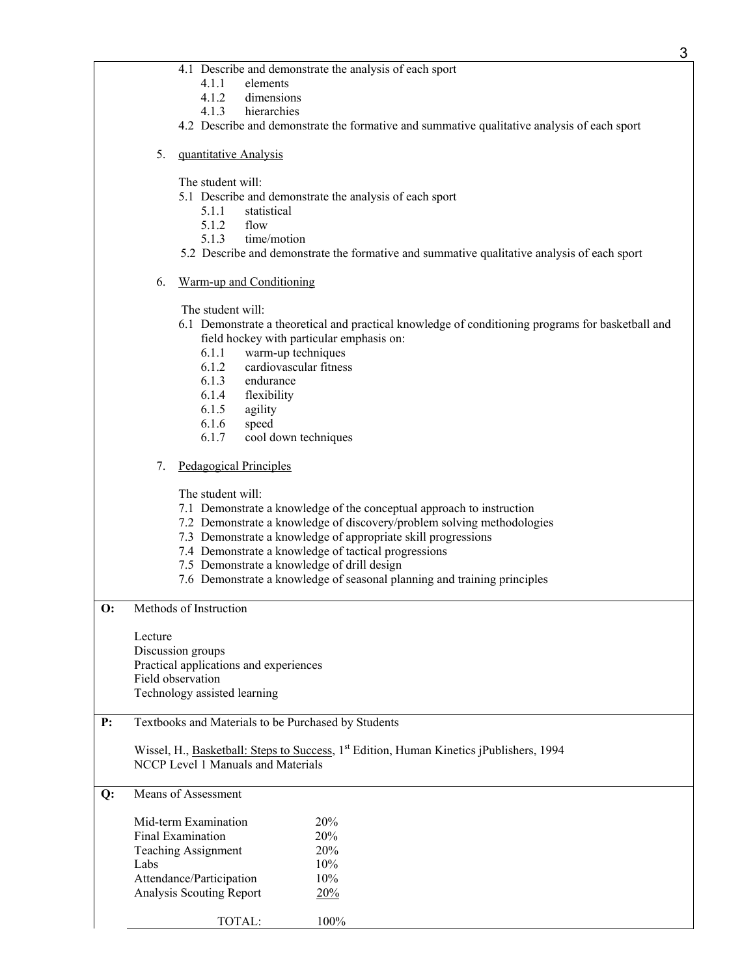- 4.1 Describe and demonstrate the analysis of each sport
	- 4.1.1 elements
	- 4.1.2 dimensions
	- 4.1.3 hierarchies
- 4.2 Describe and demonstrate the formative and summative qualitative analysis of each sport
- 5. quantitative Analysis
	- The student will:
	- 5.1 Describe and demonstrate the analysis of each sport
		- 5.1.1 statistical
		- 5.1.2 flow
		- 5.1.3 time/motion
	- 5.2 Describe and demonstrate the formative and summative qualitative analysis of each sport
- 6. Warm-up and Conditioning

The student will:

- 6.1 Demonstrate a theoretical and practical knowledge of conditioning programs for basketball and field hockey with particular emphasis on:
	- 6.1.1 warm-up techniques
	- 6.1.2 cardiovascular fitness
	- 6.1.3 endurance
	- 6.1.4 flexibility
	- 6.1.5 agility
	- 6.1.6 speed
	- 6.1.7 cool down techniques

## 7. Pedagogical Principles

The student will:

- 7.1 Demonstrate a knowledge of the conceptual approach to instruction
- 7.2 Demonstrate a knowledge of discovery/problem solving methodologies
- 7.3 Demonstrate a knowledge of appropriate skill progressions
- 7.4 Demonstrate a knowledge of tactical progressions
- 7.5 Demonstrate a knowledge of drill design
- 7.6 Demonstrate a knowledge of seasonal planning and training principles

**O:** Methods of Instruction

Lecture Discussion groups

Practical applications and experiences Field observation Technology assisted learning

## **P:** Textbooks and Materials to be Purchased by Students

Wissel, H., Basketball: Steps to Success, 1<sup>st</sup> Edition, Human Kinetics jPublishers, 1994 NCCP Level 1 Manuals and Materials

**Q:** Means of Assessment

| Mid-term Examination       | 20%  |
|----------------------------|------|
| Final Examination          | 20%  |
| <b>Teaching Assignment</b> | 20%  |
| Labs                       | 10%  |
| Attendance/Participation   | 10%  |
| Analysis Scouting Report   | 20%  |
| TOTAL:                     | 100% |